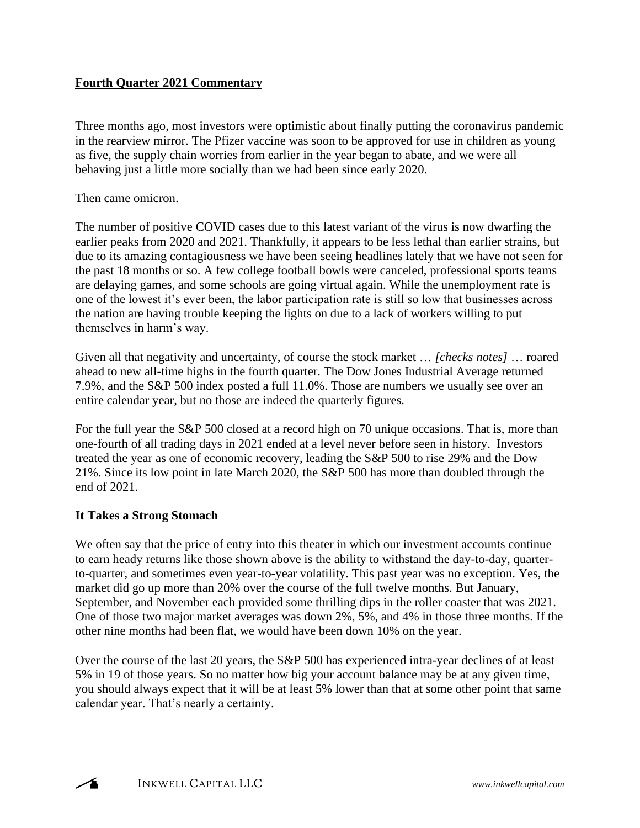## **Fourth Quarter 2021 Commentary**

Three months ago, most investors were optimistic about finally putting the coronavirus pandemic in the rearview mirror. The Pfizer vaccine was soon to be approved for use in children as young as five, the supply chain worries from earlier in the year began to abate, and we were all behaving just a little more socially than we had been since early 2020.

Then came omicron.

The number of positive COVID cases due to this latest variant of the virus is now dwarfing the earlier peaks from 2020 and 2021. Thankfully, it appears to be less lethal than earlier strains, but due to its amazing contagiousness we have been seeing headlines lately that we have not seen for the past 18 months or so. A few college football bowls were canceled, professional sports teams are delaying games, and some schools are going virtual again. While the unemployment rate is one of the lowest it's ever been, the labor participation rate is still so low that businesses across the nation are having trouble keeping the lights on due to a lack of workers willing to put themselves in harm's way.

Given all that negativity and uncertainty, of course the stock market … *[checks notes]* … roared ahead to new all-time highs in the fourth quarter. The Dow Jones Industrial Average returned 7.9%, and the S&P 500 index posted a full 11.0%. Those are numbers we usually see over an entire calendar year, but no those are indeed the quarterly figures.

For the full year the S&P 500 closed at a record high on 70 unique occasions. That is, more than one-fourth of all trading days in 2021 ended at a level never before seen in history. Investors treated the year as one of economic recovery, leading the S&P 500 to rise 29% and the Dow 21%. Since its low point in late March 2020, the S&P 500 has more than doubled through the end of 2021.

## **It Takes a Strong Stomach**

We often say that the price of entry into this theater in which our investment accounts continue to earn heady returns like those shown above is the ability to withstand the day-to-day, quarterto-quarter, and sometimes even year-to-year volatility. This past year was no exception. Yes, the market did go up more than 20% over the course of the full twelve months. But January, September, and November each provided some thrilling dips in the roller coaster that was 2021. One of those two major market averages was down 2%, 5%, and 4% in those three months. If the other nine months had been flat, we would have been down 10% on the year.

Over the course of the last 20 years, the S&P 500 has experienced intra-year declines of at least 5% in 19 of those years. So no matter how big your account balance may be at any given time, you should always expect that it will be at least 5% lower than that at some other point that same calendar year. That's nearly a certainty.